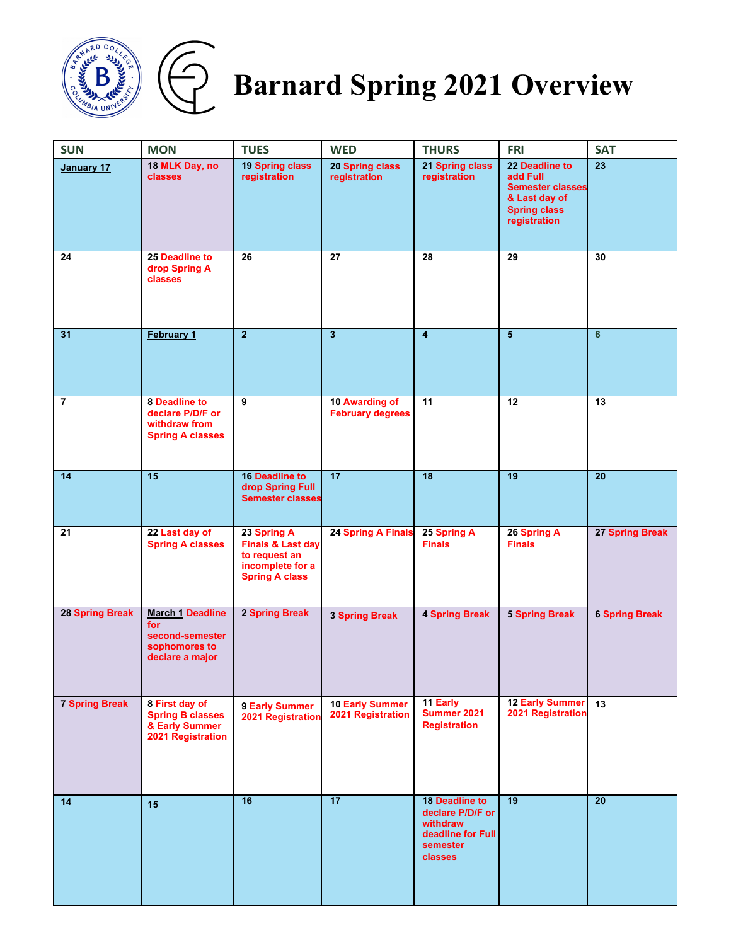

## $\bigoplus$

## **Barnard Spring 2021 Overview**

| <b>SUN</b>      | <b>MON</b>                                                                            | <b>TUES</b>                                                                                               | <b>WED</b>                                  | <b>THURS</b>                                                                                      | <b>FRI</b>                                                                                                    | <b>SAT</b>            |
|-----------------|---------------------------------------------------------------------------------------|-----------------------------------------------------------------------------------------------------------|---------------------------------------------|---------------------------------------------------------------------------------------------------|---------------------------------------------------------------------------------------------------------------|-----------------------|
| January 17      | 18 MLK Day, no<br><b>classes</b>                                                      | 19 Spring class<br>registration                                                                           | 20 Spring class<br>registration             | 21 Spring class<br>registration                                                                   | 22 Deadline to<br>add Full<br><b>Semester classes</b><br>& Last day of<br><b>Spring class</b><br>registration | 23                    |
| 24              | 25 Deadline to<br>drop Spring A<br>classes                                            | 26                                                                                                        | 27                                          | 28                                                                                                | 29                                                                                                            | 30                    |
| 31              | February 1                                                                            | $\overline{2}$                                                                                            | $\overline{3}$                              | $\overline{\mathbf{4}}$                                                                           | $\overline{5}$                                                                                                | 6                     |
| $\overline{7}$  | <b>8 Deadline to</b><br>declare P/D/F or<br>withdraw from<br><b>Spring A classes</b>  | 9                                                                                                         | 10 Awarding of<br><b>February degrees</b>   | 11                                                                                                | 12                                                                                                            | 13                    |
| 14              | 15                                                                                    | <b>16 Deadline to</b><br>drop Spring Full<br><b>Semester classes</b>                                      | $\overline{17}$                             | $\overline{18}$                                                                                   | $\overline{19}$                                                                                               | 20                    |
| 21              | 22 Last day of<br><b>Spring A classes</b>                                             | 23 Spring A<br><b>Finals &amp; Last day</b><br>to request an<br>incomplete for a<br><b>Spring A class</b> | 24 Spring A Finals                          | 25 Spring A<br><b>Finals</b>                                                                      | 26 Spring A<br><b>Finals</b>                                                                                  | 27 Spring Break       |
| 28 Spring Break | <b>March 1 Deadline</b><br>for<br>second-semester<br>sophomores to<br>declare a major | 2 Spring Break                                                                                            | <b>3 Spring Break</b>                       | <b>4 Spring Break</b>                                                                             | <b>5 Spring Break</b>                                                                                         | <b>6 Spring Break</b> |
| 7 Spring Break  | 8 First day of<br><b>Spring B classes</b><br>& Early Summer<br>2021 Registration      | 9 Early Summer<br>2021 Registration                                                                       | <b>10 Early Summer</b><br>2021 Registration | 11 Early<br>Summer 2021<br><b>Registration</b>                                                    | <b>12 Early Summer</b><br>2021 Registration                                                                   | 13                    |
| 14              | 15                                                                                    | 16                                                                                                        | $\overline{17}$                             | 18 Deadline to<br>declare P/D/F or<br>withdraw<br>deadline for Full<br>semester<br><b>classes</b> | 19                                                                                                            | 20                    |